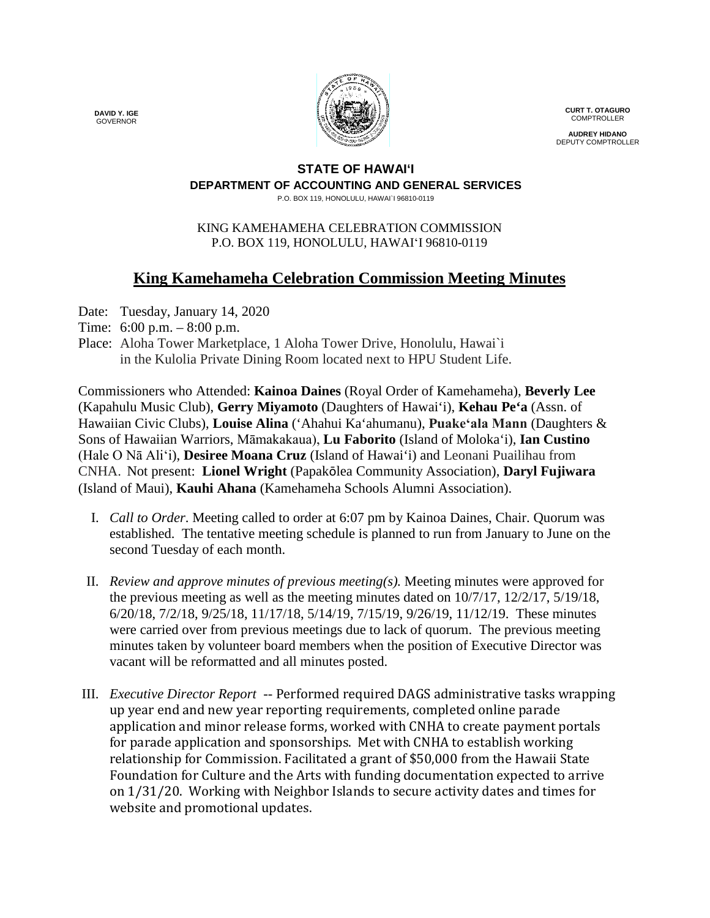

**CURT T. OTAGURO** COMPTROLLER

**AUDREY HIDANO** DEPUTY COMPTROLLER

## **STATE OF HAWAI'I DEPARTMENT OF ACCOUNTING AND GENERAL SERVICES**

P.O. BOX 119, HONOLULU, HAWAI`I 96810-0119

## KING KAMEHAMEHA CELEBRATION COMMISSION P.O. BOX 119, HONOLULU, HAWAIʻI 96810-0119

## **King Kamehameha Celebration Commission Meeting Minutes**

- Date: Tuesday, January 14, 2020
- Time: 6:00 p.m. 8:00 p.m.
- Place: Aloha Tower Marketplace, 1 Aloha Tower Drive, Honolulu, Hawai`i in the Kulolia Private Dining Room located next to HPU Student Life.

Commissioners who Attended: **Kainoa Daines** (Royal Order of Kamehameha), **Beverly Lee** (Kapahulu Music Club), **Gerry Miyamoto** (Daughters of Hawai'i), **Kehau Pe'a** (Assn. of Hawaiian Civic Clubs), **Louise Alina** ('Ahahui Ka'ahumanu), **Puakeʻala Mann** (Daughters & Sons of Hawaiian Warriors, Māmakakaua), **Lu Faborito** (Island of Moloka'i), **Ian Custino** (Hale O Nā Ali'i), **Desiree Moana Cruz** (Island of Hawai'i) and Leonani Puailihau from CNHA. Not present: **Lionel Wright** (Papakōlea Community Association), **Daryl Fujiwara** (Island of Maui), **Kauhi Ahana** (Kamehameha Schools Alumni Association).

- I. *Call to Order*. Meeting called to order at 6:07 pm by Kainoa Daines, Chair. Quorum was established. The tentative meeting schedule is planned to run from January to June on the second Tuesday of each month.
- II. *Review and approve minutes of previous meeting(s).* Meeting minutes were approved for the previous meeting as well as the meeting minutes dated on  $10/7/17$ ,  $12/2/17$ ,  $5/19/18$ , 6/20/18, 7/2/18, 9/25/18, 11/17/18, 5/14/19, 7/15/19, 9/26/19, 11/12/19. These minutes were carried over from previous meetings due to lack of quorum. The previous meeting minutes taken by volunteer board members when the position of Executive Director was vacant will be reformatted and all minutes posted.
- III. *Executive Director Report --* Performed required DAGS administrative tasks wrapping up year end and new year reporting requirements, completed online parade application and minor release forms, worked with CNHA to create payment portals for parade application and sponsorships. Met with CNHA to establish working relationship for Commission. Facilitated a grant of \$50,000 from the Hawaii State Foundation for Culture and the Arts with funding documentation expected to arrive on 1/31/20. Working with Neighbor Islands to secure activity dates and times for website and promotional updates.

**DAVID Y. IGE** GOVERNOR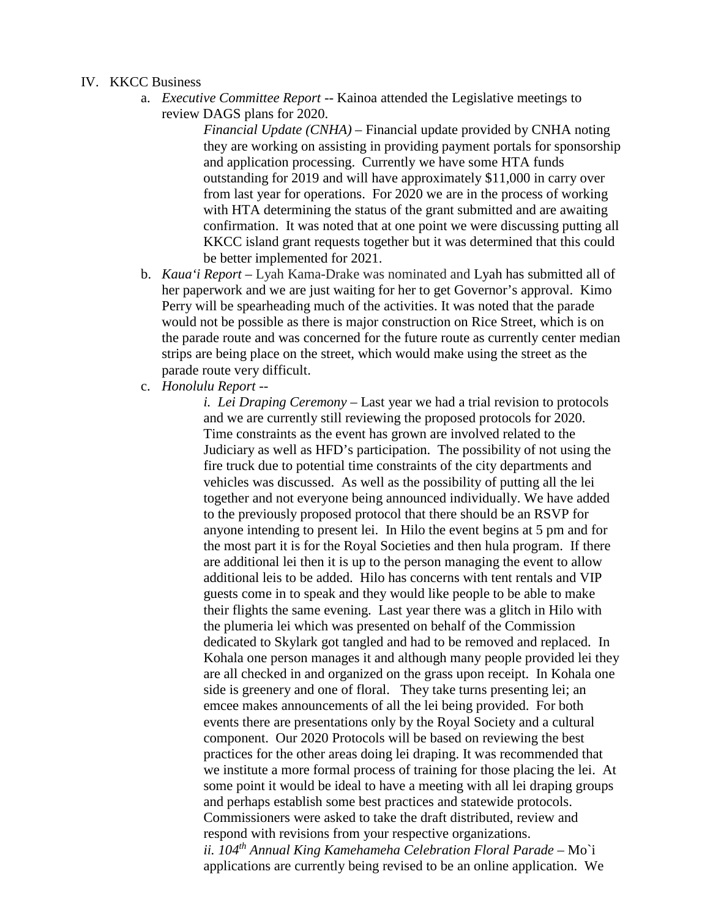## IV. KKCC Business

a. *Executive Committee Report --* Kainoa attended the Legislative meetings to review DAGS plans for 2020.

> i. *Financial Update (CNHA)* – Financial update provided by CNHA noting they are working on assisting in providing payment portals for sponsorship and application processing. Currently we have some HTA funds outstanding for 2019 and will have approximately \$11,000 in carry over from last year for operations. For 2020 we are in the process of working with HTA determining the status of the grant submitted and are awaiting confirmation. It was noted that at one point we were discussing putting all KKCC island grant requests together but it was determined that this could be better implemented for 2021.

- b. *Kaua'i Report –* Lyah Kama-Drake was nominated and Lyah has submitted all of her paperwork and we are just waiting for her to get Governor's approval. Kimo Perry will be spearheading much of the activities. It was noted that the parade would not be possible as there is major construction on Rice Street, which is on the parade route and was concerned for the future route as currently center median strips are being place on the street, which would make using the street as the parade route very difficult.
- c. *Honolulu Report* --

i. *i. Lei Draping Ceremony* – Last year we had a trial revision to protocols and we are currently still reviewing the proposed protocols for 2020. Time constraints as the event has grown are involved related to the Judiciary as well as HFD's participation. The possibility of not using the fire truck due to potential time constraints of the city departments and vehicles was discussed. As well as the possibility of putting all the lei together and not everyone being announced individually. We have added to the previously proposed protocol that there should be an RSVP for anyone intending to present lei. In Hilo the event begins at 5 pm and for the most part it is for the Royal Societies and then hula program. If there are additional lei then it is up to the person managing the event to allow additional leis to be added. Hilo has concerns with tent rentals and VIP guests come in to speak and they would like people to be able to make their flights the same evening. Last year there was a glitch in Hilo with the plumeria lei which was presented on behalf of the Commission dedicated to Skylark got tangled and had to be removed and replaced. In Kohala one person manages it and although many people provided lei they are all checked in and organized on the grass upon receipt. In Kohala one side is greenery and one of floral. They take turns presenting lei; an emcee makes announcements of all the lei being provided. For both events there are presentations only by the Royal Society and a cultural component. Our 2020 Protocols will be based on reviewing the best practices for the other areas doing lei draping. It was recommended that we institute a more formal process of training for those placing the lei. At some point it would be ideal to have a meeting with all lei draping groups and perhaps establish some best practices and statewide protocols. Commissioners were asked to take the draft distributed, review and respond with revisions from your respective organizations. *ii. 104th Annual King Kamehameha Celebration Floral Parade –* Mo`i applications are currently being revised to be an online application. We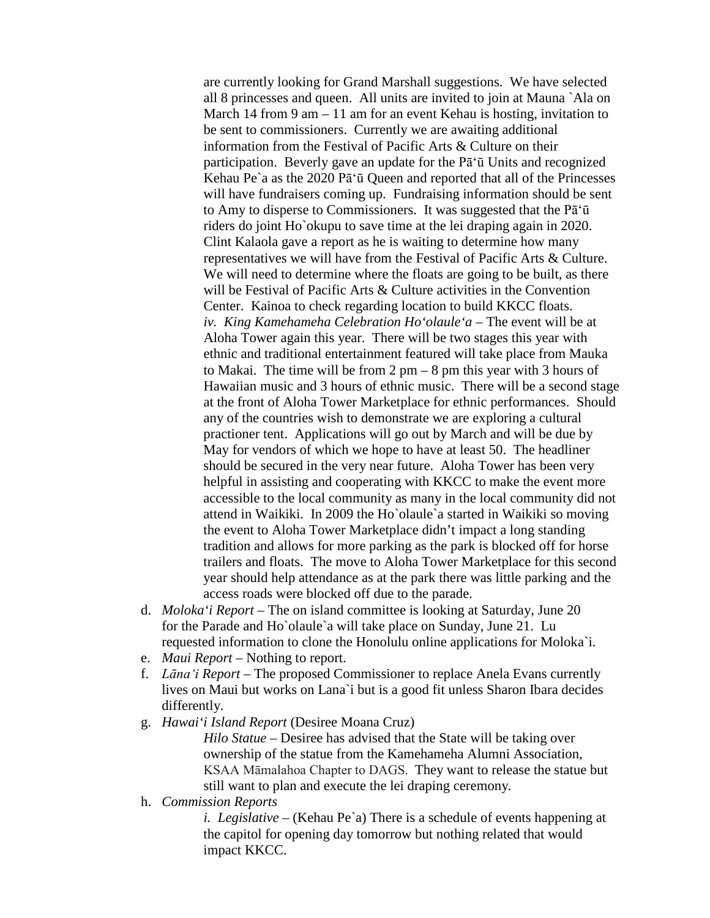are currently looking for Grand Marshall suggestions. We have selected all 8 princesses and queen. All units are invited to join at Mauna `Ala on March 14 from 9 am – 11 am for an event Kehau is hosting, invitation to be sent to commissioners. Currently we are awaiting additional information from the Festival of Pacific Arts & Culture on their participation. Beverly gave an update for the Pā'ū Units and recognized Kehau Pe`a as the 2020 Pā'ū Queen and reported that all of the Princesses will have fundraisers coming up. Fundraising information should be sent to Amy to disperse to Commissioners. It was suggested that the Pā'ū riders do joint Ho`okupu to save time at the lei draping again in 2020. Clint Kalaola gave a report as he is waiting to determine how many representatives we will have from the Festival of Pacific Arts & Culture. We will need to determine where the floats are going to be built, as there will be Festival of Pacific Arts & Culture activities in the Convention Center. Kainoa to check regarding location to build KKCC floats. *iv. King Kamehameha Celebration Ho'olaule'a* – The event will be at Aloha Tower again this year. There will be two stages this year with ethnic and traditional entertainment featured will take place from Mauka to Makai. The time will be from  $2 \text{ pm} - 8 \text{ pm}$  this year with 3 hours of Hawaiian music and 3 hours of ethnic music. There will be a second stage at the front of Aloha Tower Marketplace for ethnic performances. Should any of the countries wish to demonstrate we are exploring a cultural practioner tent. Applications will go out by March and will be due by May for vendors of which we hope to have at least 50. The headliner should be secured in the very near future. Aloha Tower has been very helpful in assisting and cooperating with KKCC to make the event more accessible to the local community as many in the local community did not attend in Waikiki. In 2009 the Ho`olaule`a started in Waikiki so moving the event to Aloha Tower Marketplace didn't impact a long standing tradition and allows for more parking as the park is blocked off for horse trailers and floats. The move to Aloha Tower Marketplace for this second year should help attendance as at the park there was little parking and the access roads were blocked off due to the parade.

- d. *Moloka'i Report* The on island committee is looking at Saturday, June 20 for the Parade and Ho`olaule`a will take place on Sunday, June 21. Lu requested information to clone the Honolulu online applications for Moloka`i.
- e. *Maui Report* Nothing to report.
- f. *Lāna'i Report* The proposed Commissioner to replace Anela Evans currently lives on Maui but works on Lana`i but is a good fit unless Sharon Ibara decides differently.
- g. *Hawai'i Island Report* (Desiree Moana Cruz)

Hilo Statue – Desiree has advised that the State will be taking over ownership of the statue from the Kamehameha Alumni Association, KSAA Māmalahoa Chapter to DAGS. They want to release the statue but still want to plan and execute the lei draping ceremony*.*

h. *Commission Reports*

*i. i. Legislative* – (Kehau Pe`a) There is a schedule of events happening at the capitol for opening day tomorrow but nothing related that would impact KKCC.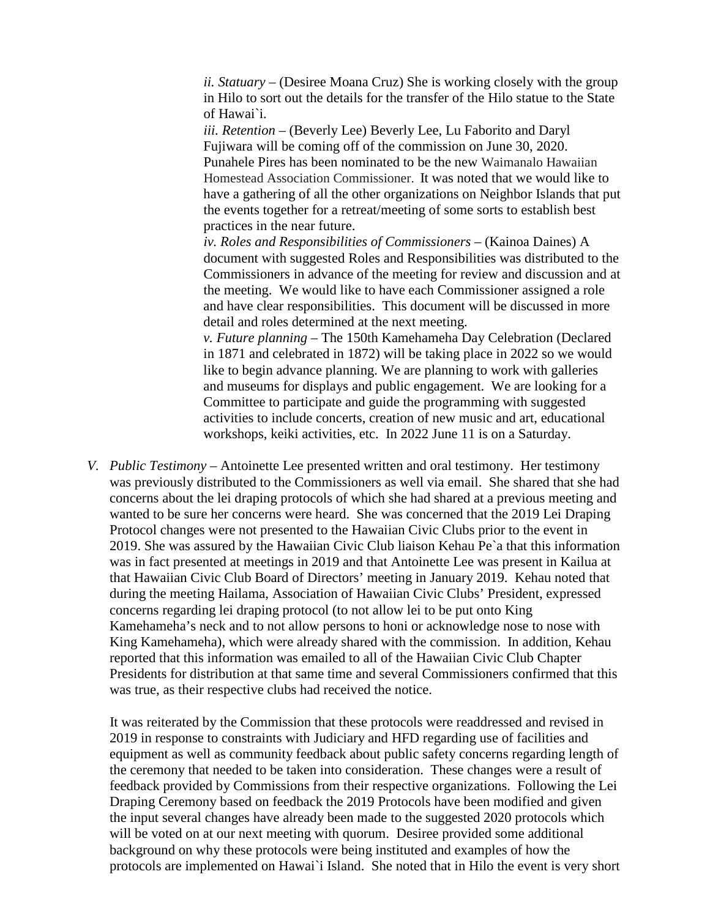*ii. Statuary –* (Desiree Moana Cruz) She is working closely with the group in Hilo to sort out the details for the transfer of the Hilo statue to the State of Hawai`i.

*iii. Retention –* (Beverly Lee) Beverly Lee, Lu Faborito and Daryl Fujiwara will be coming off of the commission on June 30, 2020. Punahele Pires has been nominated to be the new Waimanalo Hawaiian Homestead Association Commissioner. It was noted that we would like to have a gathering of all the other organizations on Neighbor Islands that put the events together for a retreat/meeting of some sorts to establish best practices in the near future.

*ii. iv. Roles and Responsibilities of Commissioners –* (Kainoa Daines) A document with suggested Roles and Responsibilities was distributed to the Commissioners in advance of the meeting for review and discussion and at the meeting. We would like to have each Commissioner assigned a role and have clear responsibilities. This document will be discussed in more detail and roles determined at the next meeting.

*v. Future planning* – The 150th Kamehameha Day Celebration (Declared in 1871 and celebrated in 1872) will be taking place in 2022 so we would like to begin advance planning. We are planning to work with galleries and museums for displays and public engagement. We are looking for a Committee to participate and guide the programming with suggested activities to include concerts, creation of new music and art, educational workshops, keiki activities, etc. In 2022 June 11 is on a Saturday.

*V. Public Testimony –* Antoinette Lee presented written and oral testimony. Her testimony was previously distributed to the Commissioners as well via email. She shared that she had concerns about the lei draping protocols of which she had shared at a previous meeting and wanted to be sure her concerns were heard. She was concerned that the 2019 Lei Draping Protocol changes were not presented to the Hawaiian Civic Clubs prior to the event in 2019. She was assured by the Hawaiian Civic Club liaison Kehau Pe`a that this information was in fact presented at meetings in 2019 and that Antoinette Lee was present in Kailua at that Hawaiian Civic Club Board of Directors' meeting in January 2019. Kehau noted that during the meeting Hailama, Association of Hawaiian Civic Clubs' President, expressed concerns regarding lei draping protocol (to not allow lei to be put onto King Kamehameha's neck and to not allow persons to honi or acknowledge nose to nose with King Kamehameha), which were already shared with the commission. In addition, Kehau reported that this information was emailed to all of the Hawaiian Civic Club Chapter Presidents for distribution at that same time and several Commissioners confirmed that this was true, as their respective clubs had received the notice.

It was reiterated by the Commission that these protocols were readdressed and revised in 2019 in response to constraints with Judiciary and HFD regarding use of facilities and equipment as well as community feedback about public safety concerns regarding length of the ceremony that needed to be taken into consideration. These changes were a result of feedback provided by Commissions from their respective organizations. Following the Lei Draping Ceremony based on feedback the 2019 Protocols have been modified and given the input several changes have already been made to the suggested 2020 protocols which will be voted on at our next meeting with quorum. Desiree provided some additional background on why these protocols were being instituted and examples of how the protocols are implemented on Hawai`i Island. She noted that in Hilo the event is very short